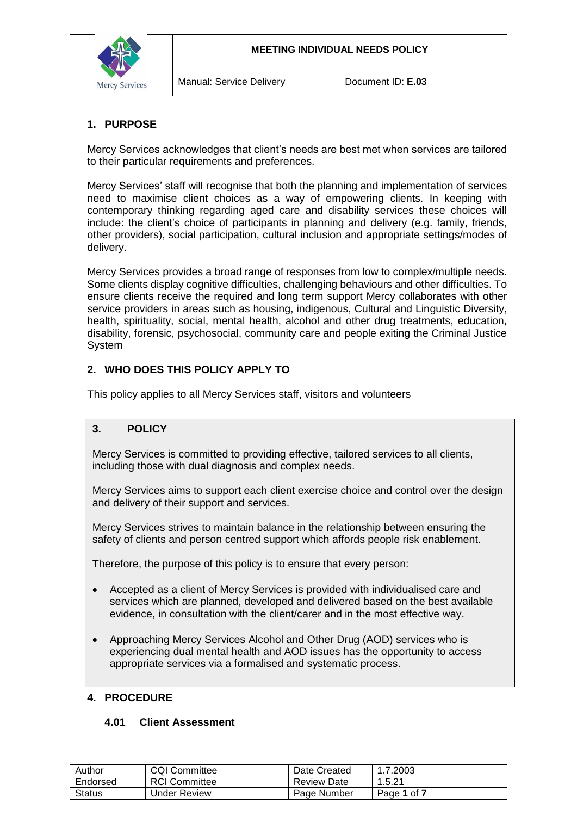

### **1. PURPOSE**

Mercy Services acknowledges that client's needs are best met when services are tailored to their particular requirements and preferences.

Mercy Services' staff will recognise that both the planning and implementation of services need to maximise client choices as a way of empowering clients. In keeping with contemporary thinking regarding aged care and disability services these choices will include: the client's choice of participants in planning and delivery (e.g. family, friends, other providers), social participation, cultural inclusion and appropriate settings/modes of delivery.

Mercy Services provides a broad range of responses from low to complex/multiple needs. Some clients display cognitive difficulties, challenging behaviours and other difficulties. To ensure clients receive the required and long term support Mercy collaborates with other service providers in areas such as housing, indigenous, Cultural and Linguistic Diversity, health, spirituality, social, mental health, alcohol and other drug treatments, education, disability, forensic, psychosocial, community care and people exiting the Criminal Justice **System** 

## **2. WHO DOES THIS POLICY APPLY TO**

This policy applies to all Mercy Services staff, visitors and volunteers

### **3. POLICY**

Mercy Services is committed to providing effective, tailored services to all clients, including those with dual diagnosis and complex needs.

Mercy Services aims to support each client exercise choice and control over the design and delivery of their support and services.

Mercy Services strives to maintain balance in the relationship between ensuring the safety of clients and person centred support which affords people risk enablement.

Therefore, the purpose of this policy is to ensure that every person:

- Accepted as a client of Mercy Services is provided with individualised care and services which are planned, developed and delivered based on the best available evidence, in consultation with the client/carer and in the most effective way.
- Approaching Mercy Services Alcohol and Other Drug (AOD) services who is experiencing dual mental health and AOD issues has the opportunity to access appropriate services via a formalised and systematic process.

#### **4. PROCEDURE**

#### **4.01 Client Assessment**

| Author        | <b>CQI Committee</b> | Date Created       | 1.7.2003    |
|---------------|----------------------|--------------------|-------------|
| Endorsed      | <b>RCI Committee</b> | <b>Review Date</b> | 1.5.21      |
| <b>Status</b> | Under Review         | Page Number        | Page 1 of 7 |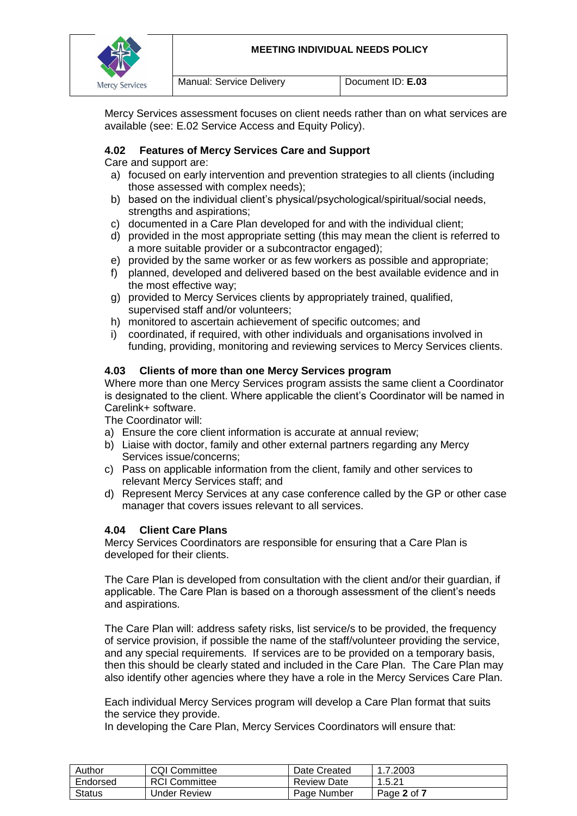

Mercy Services assessment focuses on client needs rather than on what services are available (see: E.02 Service Access and Equity Policy).

### **4.02 Features of Mercy Services Care and Support**

Care and support are:

- a) focused on early intervention and prevention strategies to all clients (including those assessed with complex needs);
- b) based on the individual client's physical/psychological/spiritual/social needs, strengths and aspirations;
- c) documented in a Care Plan developed for and with the individual client;
- d) provided in the most appropriate setting (this may mean the client is referred to a more suitable provider or a subcontractor engaged);
- e) provided by the same worker or as few workers as possible and appropriate;
- f) planned, developed and delivered based on the best available evidence and in the most effective way;
- g) provided to Mercy Services clients by appropriately trained, qualified, supervised staff and/or volunteers;
- h) monitored to ascertain achievement of specific outcomes; and
- i) coordinated, if required, with other individuals and organisations involved in funding, providing, monitoring and reviewing services to Mercy Services clients.

#### **4.03 Clients of more than one Mercy Services program**

Where more than one Mercy Services program assists the same client a Coordinator is designated to the client. Where applicable the client's Coordinator will be named in Carelink+ software.

The Coordinator will:

- a) Ensure the core client information is accurate at annual review;
- b) Liaise with doctor, family and other external partners regarding any Mercy Services issue/concerns;
- c) Pass on applicable information from the client, family and other services to relevant Mercy Services staff; and
- d) Represent Mercy Services at any case conference called by the GP or other case manager that covers issues relevant to all services.

#### **4.04 Client Care Plans**

Mercy Services Coordinators are responsible for ensuring that a Care Plan is developed for their clients.

The Care Plan is developed from consultation with the client and/or their guardian, if applicable. The Care Plan is based on a thorough assessment of the client's needs and aspirations.

The Care Plan will: address safety risks, list service/s to be provided, the frequency of service provision, if possible the name of the staff/volunteer providing the service, and any special requirements. If services are to be provided on a temporary basis, then this should be clearly stated and included in the Care Plan. The Care Plan may also identify other agencies where they have a role in the Mercy Services Care Plan.

Each individual Mercy Services program will develop a Care Plan format that suits the service they provide.

In developing the Care Plan, Mercy Services Coordinators will ensure that:

| Author        | <b>CQI Committee</b> | Date Created       | 1.7.2003    |
|---------------|----------------------|--------------------|-------------|
| Endorsed      | <b>RCI</b> Committee | <b>Review Date</b> | 1.5.21      |
| <b>Status</b> | Under Review         | Page Number        | Page 2 of 7 |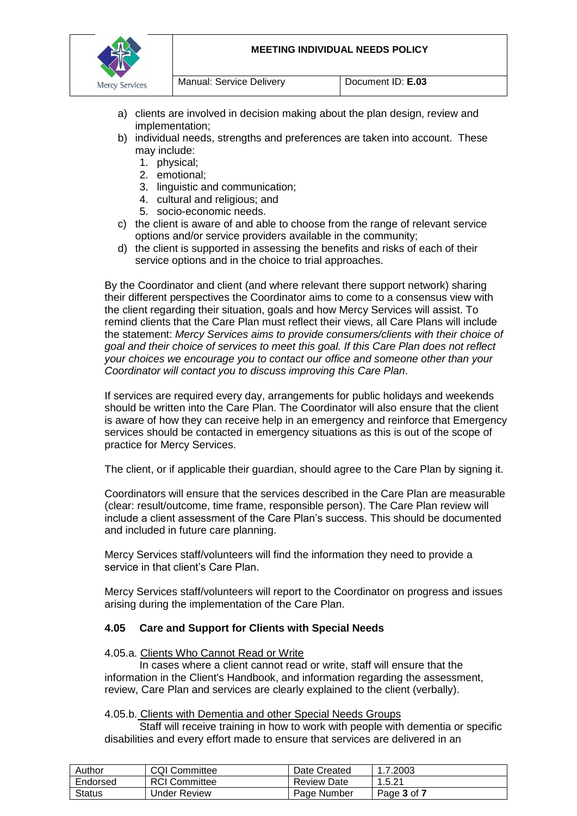

- a) clients are involved in decision making about the plan design, review and implementation;
- b) individual needs, strengths and preferences are taken into account. These may include:
	- 1. physical;
	- 2. emotional;
	- 3. linguistic and communication;
	- 4. cultural and religious; and
	- 5. socio-economic needs.
- c) the client is aware of and able to choose from the range of relevant service options and/or service providers available in the community;
- d) the client is supported in assessing the benefits and risks of each of their service options and in the choice to trial approaches.

By the Coordinator and client (and where relevant there support network) sharing their different perspectives the Coordinator aims to come to a consensus view with the client regarding their situation, goals and how Mercy Services will assist. To remind clients that the Care Plan must reflect their views, all Care Plans will include the statement: *Mercy Services aims to provide consumers/clients with their choice of goal and their choice of services to meet this goal. If this Care Plan does not reflect your choices we encourage you to contact our office and someone other than your Coordinator will contact you to discuss improving this Care Plan*.

If services are required every day, arrangements for public holidays and weekends should be written into the Care Plan. The Coordinator will also ensure that the client is aware of how they can receive help in an emergency and reinforce that Emergency services should be contacted in emergency situations as this is out of the scope of practice for Mercy Services.

The client, or if applicable their guardian, should agree to the Care Plan by signing it.

Coordinators will ensure that the services described in the Care Plan are measurable (clear: result/outcome, time frame, responsible person). The Care Plan review will include a client assessment of the Care Plan's success. This should be documented and included in future care planning.

Mercy Services staff/volunteers will find the information they need to provide a service in that client's Care Plan.

Mercy Services staff/volunteers will report to the Coordinator on progress and issues arising during the implementation of the Care Plan.

## **4.05 Care and Support for Clients with Special Needs**

#### 4.05.a. Clients Who Cannot Read or Write

In cases where a client cannot read or write, staff will ensure that the information in the Client's Handbook, and information regarding the assessment, review, Care Plan and services are clearly explained to the client (verbally).

#### 4.05.b. Clients with Dementia and other Special Needs Groups

Staff will receive training in how to work with people with dementia or specific disabilities and every effort made to ensure that services are delivered in an

| Author        | <b>CQI Committee</b> | Date Created       | 1.7.2003    |
|---------------|----------------------|--------------------|-------------|
| Endorsed      | <b>RCI Committee</b> | <b>Review Date</b> | 1.5.21      |
| <b>Status</b> | Under Review         | Page Number        | Page 3 of 7 |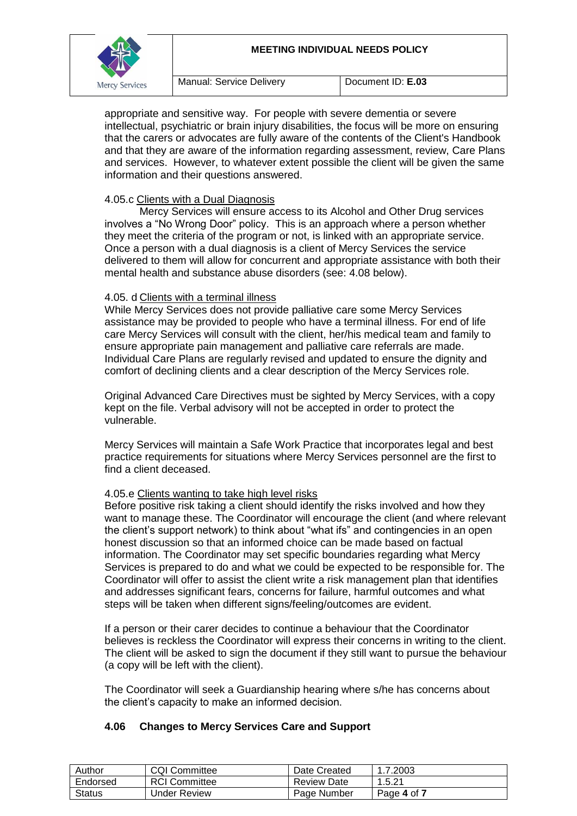#### **MEETING INDIVIDUAL NEEDS POLICY**



appropriate and sensitive way. For people with severe dementia or severe intellectual, psychiatric or brain injury disabilities, the focus will be more on ensuring that the carers or advocates are fully aware of the contents of the Client's Handbook and that they are aware of the information regarding assessment, review, Care Plans and services. However, to whatever extent possible the client will be given the same information and their questions answered.

## 4.05.c Clients with a Dual Diagnosis

Mercy Services will ensure access to its Alcohol and Other Drug services involves a "No Wrong Door" policy. This is an approach where a person whether they meet the criteria of the program or not, is linked with an appropriate service. Once a person with a dual diagnosis is a client of Mercy Services the service delivered to them will allow for concurrent and appropriate assistance with both their mental health and substance abuse disorders (see: 4.08 below).

#### 4.05. d Clients with a terminal illness

While Mercy Services does not provide palliative care some Mercy Services assistance may be provided to people who have a terminal illness. For end of life care Mercy Services will consult with the client, her/his medical team and family to ensure appropriate pain management and palliative care referrals are made. Individual Care Plans are regularly revised and updated to ensure the dignity and comfort of declining clients and a clear description of the Mercy Services role.

Original Advanced Care Directives must be sighted by Mercy Services, with a copy kept on the file. Verbal advisory will not be accepted in order to protect the vulnerable.

Mercy Services will maintain a Safe Work Practice that incorporates legal and best practice requirements for situations where Mercy Services personnel are the first to find a client deceased.

## 4.05.e Clients wanting to take high level risks

Before positive risk taking a client should identify the risks involved and how they want to manage these. The Coordinator will encourage the client (and where relevant the client's support network) to think about "what ifs" and contingencies in an open honest discussion so that an informed choice can be made based on factual information. The Coordinator may set specific boundaries regarding what Mercy Services is prepared to do and what we could be expected to be responsible for. The Coordinator will offer to assist the client write a risk management plan that identifies and addresses significant fears, concerns for failure, harmful outcomes and what steps will be taken when different signs/feeling/outcomes are evident.

If a person or their carer decides to continue a behaviour that the Coordinator believes is reckless the Coordinator will express their concerns in writing to the client. The client will be asked to sign the document if they still want to pursue the behaviour (a copy will be left with the client).

The Coordinator will seek a Guardianship hearing where s/he has concerns about the client's capacity to make an informed decision.

#### **4.06 Changes to Mercy Services Care and Support**

| Author        | <b>CQI Committee</b> | Date Created | 1.7.2003    |
|---------------|----------------------|--------------|-------------|
| Endorsed      | <b>RCI Committee</b> | Review Date  | 1.5.21      |
| <b>Status</b> | Under Review         | Page Number  | Page 4 of 7 |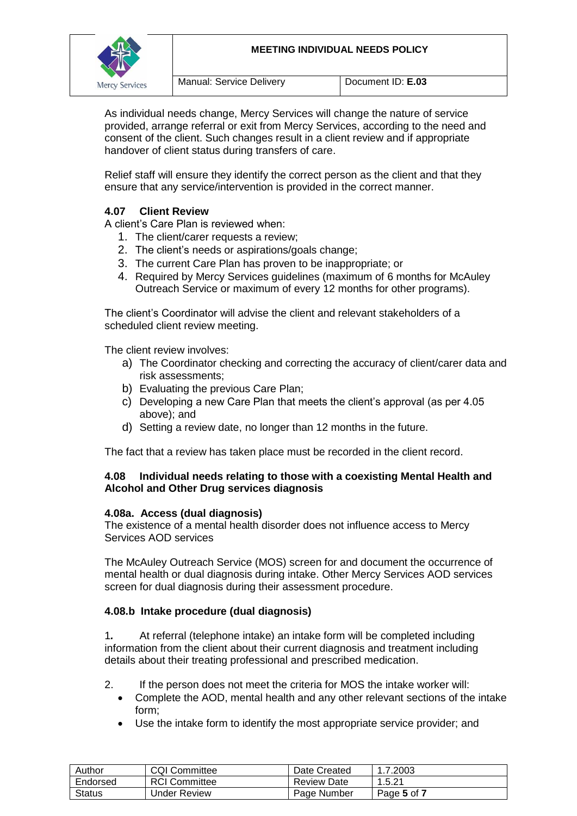

As individual needs change, Mercy Services will change the nature of service provided, arrange referral or exit from Mercy Services, according to the need and consent of the client. Such changes result in a client review and if appropriate handover of client status during transfers of care.

Relief staff will ensure they identify the correct person as the client and that they ensure that any service/intervention is provided in the correct manner.

# **4.07 Client Review**

A client's Care Plan is reviewed when:

- 1. The client/carer requests a review;
- 2. The client's needs or aspirations/goals change;
- 3. The current Care Plan has proven to be inappropriate; or
- 4. Required by Mercy Services guidelines (maximum of 6 months for McAuley Outreach Service or maximum of every 12 months for other programs).

The client's Coordinator will advise the client and relevant stakeholders of a scheduled client review meeting.

The client review involves:

- a) The Coordinator checking and correcting the accuracy of client/carer data and risk assessments;
- b) Evaluating the previous Care Plan;
- c) Developing a new Care Plan that meets the client's approval (as per 4.05 above); and
- d) Setting a review date, no longer than 12 months in the future.

The fact that a review has taken place must be recorded in the client record.

#### **4.08 Individual needs relating to those with a coexisting Mental Health and Alcohol and Other Drug services diagnosis**

#### **4.08a. Access (dual diagnosis)**

The existence of a mental health disorder does not influence access to Mercy Services AOD services

The McAuley Outreach Service (MOS) screen for and document the occurrence of mental health or dual diagnosis during intake. Other Mercy Services AOD services screen for dual diagnosis during their assessment procedure.

#### **4.08.b Intake procedure (dual diagnosis)**

1*.* At referral (telephone intake) an intake form will be completed including information from the client about their current diagnosis and treatment including details about their treating professional and prescribed medication.

- 2. If the person does not meet the criteria for MOS the intake worker will:
	- Complete the AOD, mental health and any other relevant sections of the intake form;
	- Use the intake form to identify the most appropriate service provider; and

| Author        | <b>CQI Committee</b> | Date Created | 1.7.2003    |
|---------------|----------------------|--------------|-------------|
| Endorsed      | <b>RCI Committee</b> | Review Date  | 1.5.21      |
| <b>Status</b> | Under Review         | Page Number  | Page 5 of 7 |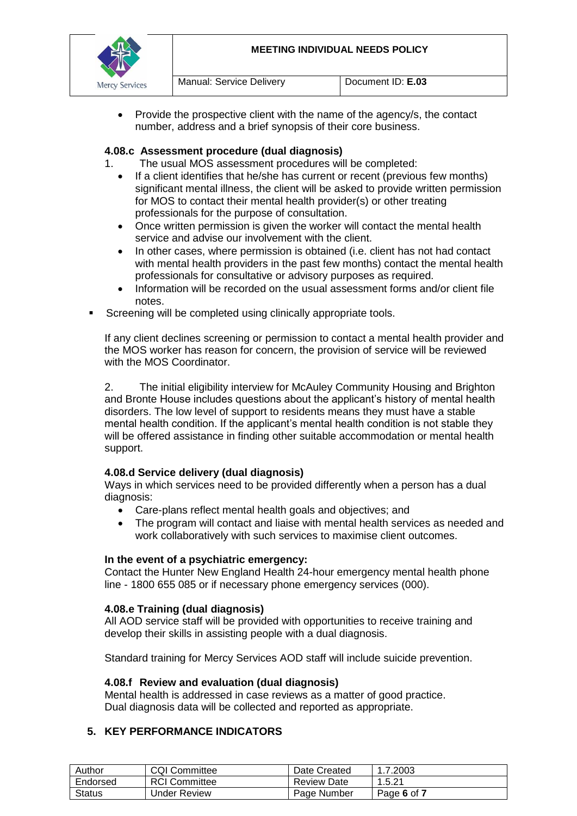



 Provide the prospective client with the name of the agency/s, the contact number, address and a brief synopsis of their core business.

### **4.08.c Assessment procedure (dual diagnosis)**

- 1. The usual MOS assessment procedures will be completed:
	- If a client identifies that he/she has current or recent (previous few months) significant mental illness, the client will be asked to provide written permission for MOS to contact their mental health provider(s) or other treating professionals for the purpose of consultation.
	- Once written permission is given the worker will contact the mental health service and advise our involvement with the client.
	- In other cases, where permission is obtained (i.e. client has not had contact with mental health providers in the past few months) contact the mental health professionals for consultative or advisory purposes as required.
	- Information will be recorded on the usual assessment forms and/or client file notes.
- Screening will be completed using clinically appropriate tools.

If any client declines screening or permission to contact a mental health provider and the MOS worker has reason for concern, the provision of service will be reviewed with the MOS Coordinator.

2. The initial eligibility interview for McAuley Community Housing and Brighton and Bronte House includes questions about the applicant's history of mental health disorders. The low level of support to residents means they must have a stable mental health condition. If the applicant's mental health condition is not stable they will be offered assistance in finding other suitable accommodation or mental health support.

## **4.08.d Service delivery (dual diagnosis)**

Ways in which services need to be provided differently when a person has a dual diagnosis:

- Care-plans reflect mental health goals and objectives; and
- The program will contact and liaise with mental health services as needed and work collaboratively with such services to maximise client outcomes.

#### **In the event of a psychiatric emergency:**

Contact the Hunter New England Health 24-hour emergency mental health phone line - 1800 655 085 or if necessary phone emergency services (000).

#### **4.08.e Training (dual diagnosis)**

All AOD service staff will be provided with opportunities to receive training and develop their skills in assisting people with a dual diagnosis.

Standard training for Mercy Services AOD staff will include suicide prevention.

#### **4.08.f Review and evaluation (dual diagnosis)**

Mental health is addressed in case reviews as a matter of good practice. Dual diagnosis data will be collected and reported as appropriate.

#### **5. KEY PERFORMANCE INDICATORS**

| Author        | <b>CQI Committee</b> | Date Created | 1.7.2003    |
|---------------|----------------------|--------------|-------------|
| Endorsed      | <b>RCI Committee</b> | Review Date  | 1.5.21      |
| <b>Status</b> | <b>Under Review</b>  | Page Number  | Page 6 of 7 |